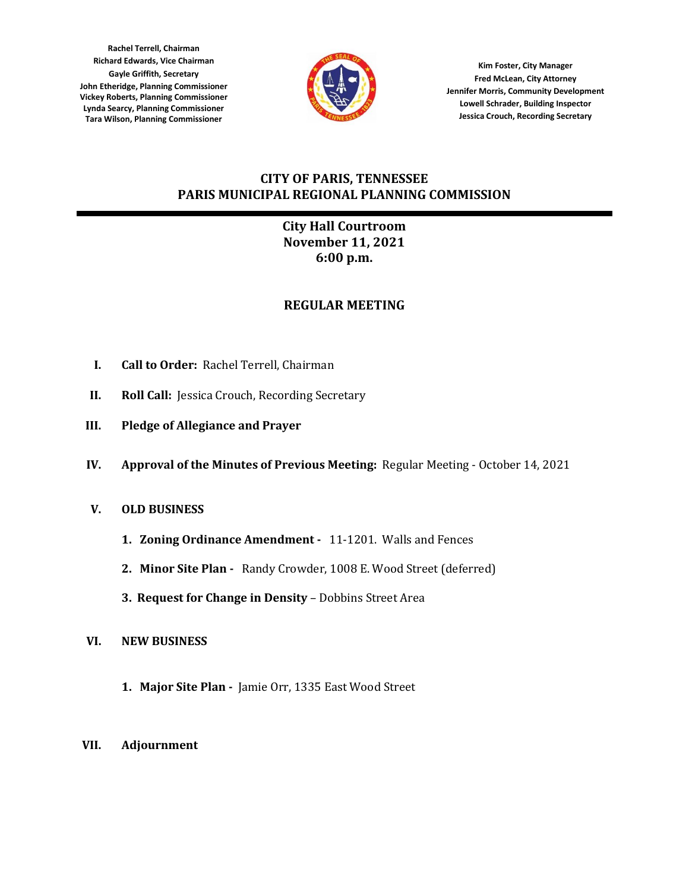**Rachel Terrell, Chairman Richard Edwards, Vice Chairman Gayle Griffith, Secretary John Etheridge, Planning Commissioner Vickey Roberts, Planning Commissioner Lynda Searcy, Planning Commissioner Tara Wilson, Planning Commissioner**



**Kim Foster, City Manager Fred McLean, City Attorney Jennifer Morris, Community Development Lowell Schrader, Building Inspector Jessica Crouch, Recording Secretary**

# **CITY OF PARIS, TENNESSEE PARIS MUNICIPAL REGIONAL PLANNING COMMISSION**

# **City Hall Courtroom November 11, 2021 6:00 p.m.**

# **REGULAR MEETING**

- **I. Call to Order:** Rachel Terrell, Chairman
- **II. Roll Call:** Jessica Crouch, Recording Secretary
- **III. Pledge of Allegiance and Prayer**
- **IV. Approval of the Minutes of Previous Meeting:** Regular Meeting October 14, 2021

## **V. OLD BUSINESS**

- **1. Zoning Ordinance Amendment** 11-1201. Walls and Fences
- **2. Minor Site Plan** Randy Crowder, 1008 E. Wood Street (deferred)
- **3. Request for Change in Density** Dobbins Street Area
- **VI. NEW BUSINESS**
	- **1. Major Site Plan -** Jamie Orr, 1335 East Wood Street

### **VII. Adjournment**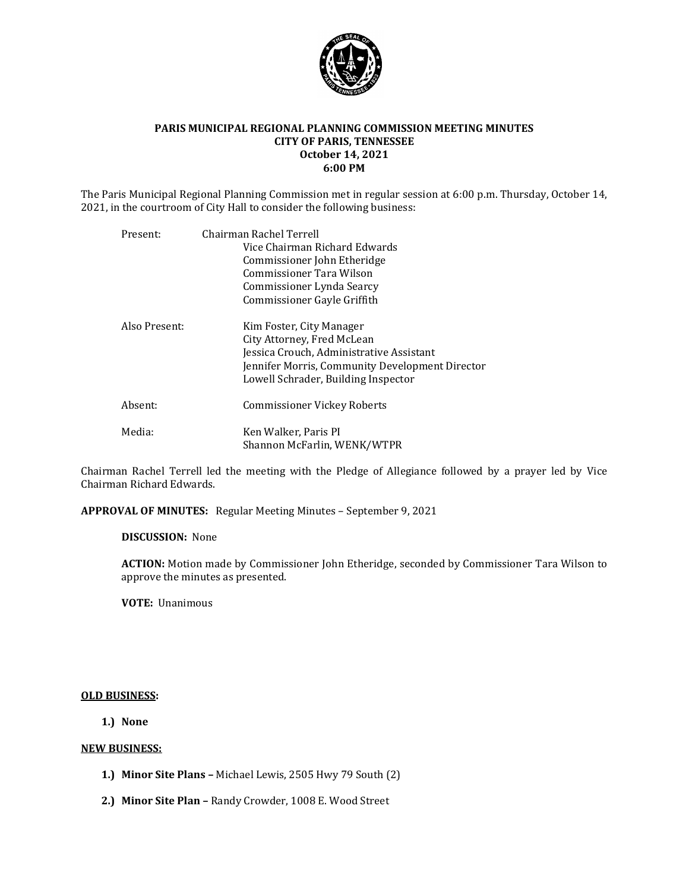

#### **PARIS MUNICIPAL REGIONAL PLANNING COMMISSION MEETING MINUTES CITY OF PARIS, TENNESSEE October 14, 2021 6:00 PM**

The Paris Municipal Regional Planning Commission met in regular session at 6:00 p.m. Thursday, October 14, 2021, in the courtroom of City Hall to consider the following business:

| Present:      | Chairman Rachel Terrell                         |
|---------------|-------------------------------------------------|
|               | Vice Chairman Richard Edwards                   |
|               | Commissioner John Etheridge                     |
|               | Commissioner Tara Wilson                        |
|               | Commissioner Lynda Searcy                       |
|               | Commissioner Gayle Griffith                     |
| Also Present: | Kim Foster, City Manager                        |
|               | City Attorney, Fred McLean                      |
|               | Jessica Crouch, Administrative Assistant        |
|               | Jennifer Morris, Community Development Director |
|               | Lowell Schrader, Building Inspector             |
| Absent:       | Commissioner Vickey Roberts                     |
| Media:        | Ken Walker, Paris PI                            |
|               | Shannon McFarlin, WENK/WTPR                     |

Chairman Rachel Terrell led the meeting with the Pledge of Allegiance followed by a prayer led by Vice Chairman Richard Edwards.

**APPROVAL OF MINUTES:** Regular Meeting Minutes – September 9, 2021

#### **DISCUSSION:** None

**ACTION:** Motion made by Commissioner John Etheridge, seconded by Commissioner Tara Wilson to approve the minutes as presented.

**VOTE:** Unanimous

#### **OLD BUSINESS:**

**1.) None**

#### **NEW BUSINESS:**

- **1.) Minor Site Plans –** Michael Lewis, 2505 Hwy 79 South (2)
- **2.) Minor Site Plan –** Randy Crowder, 1008 E. Wood Street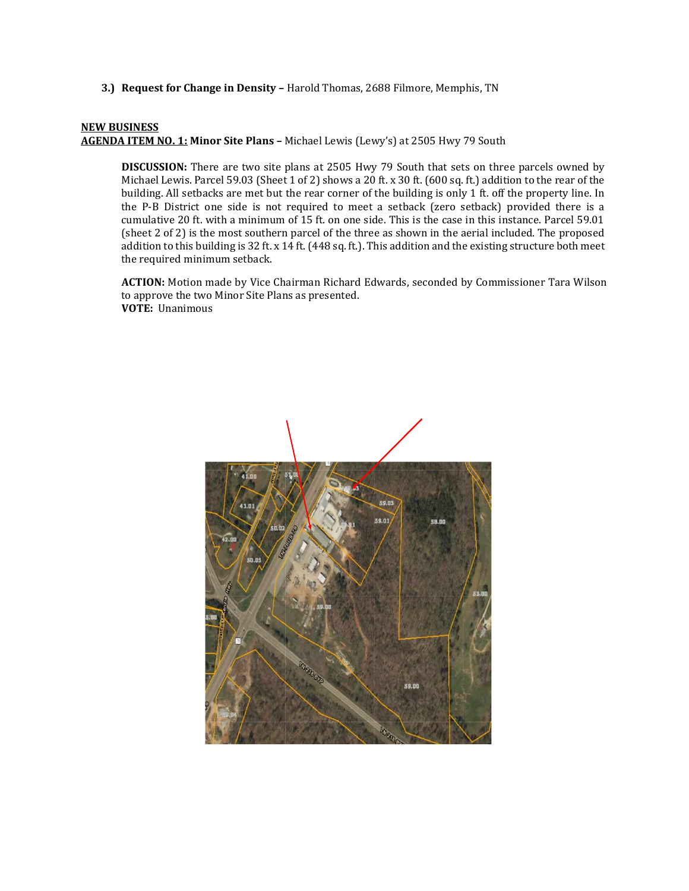**3.) Request for Change in Density –** Harold Thomas, 2688 Filmore, Memphis, TN

### **NEW BUSINESS**

**AGENDA ITEM NO. 1: Minor Site Plans –** Michael Lewis (Lewy's) at 2505 Hwy 79 South

**DISCUSSION:** There are two site plans at 2505 Hwy 79 South that sets on three parcels owned by Michael Lewis. Parcel 59.03 (Sheet 1 of 2) shows a 20 ft. x 30 ft. (600 sq. ft.) addition to the rear of the building. All setbacks are met but the rear corner of the building is only 1 ft. off the property line. In the P-B District one side is not required to meet a setback (zero setback) provided there is a cumulative 20 ft. with a minimum of 15 ft. on one side. This is the case in this instance. Parcel 59.01 (sheet 2 of 2) is the most southern parcel of the three as shown in the aerial included. The proposed addition to this building is 32 ft. x 14 ft. (448 sq. ft.). This addition and the existing structure both meet the required minimum setback.

**ACTION:** Motion made by Vice Chairman Richard Edwards, seconded by Commissioner Tara Wilson to approve the two Minor Site Plans as presented. **VOTE:** Unanimous

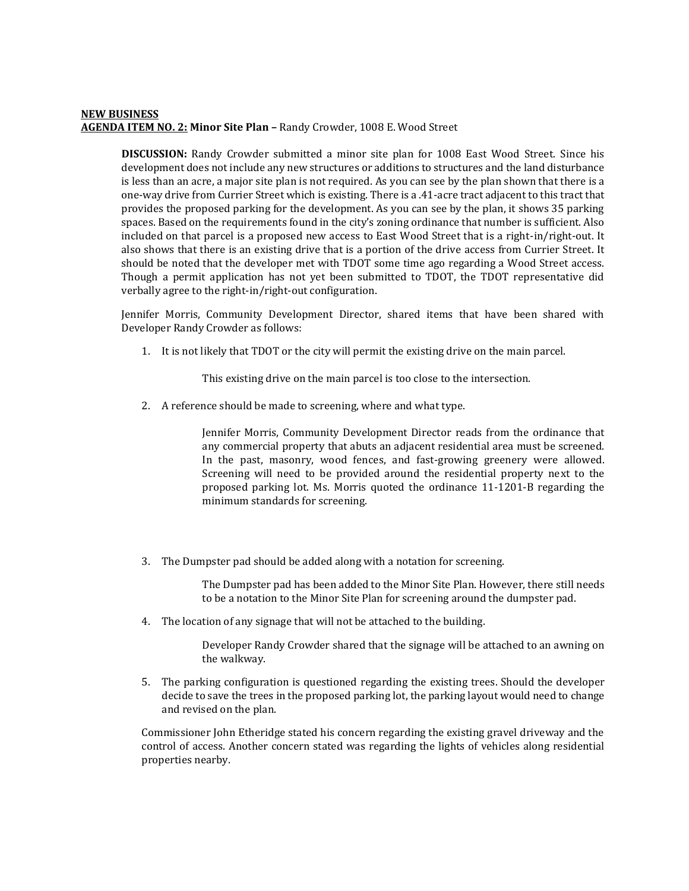### **NEW BUSINESS AGENDA ITEM NO. 2: Minor Site Plan –** Randy Crowder, 1008 E. Wood Street

**DISCUSSION:** Randy Crowder submitted a minor site plan for 1008 East Wood Street. Since his development does not include any new structures or additions to structures and the land disturbance is less than an acre, a major site plan is not required. As you can see by the plan shown that there is a one-way drive from Currier Street which is existing. There is a .41-acre tract adjacent to this tract that provides the proposed parking for the development. As you can see by the plan, it shows 35 parking spaces. Based on the requirements found in the city's zoning ordinance that number is sufficient. Also included on that parcel is a proposed new access to East Wood Street that is a right-in/right-out. It also shows that there is an existing drive that is a portion of the drive access from Currier Street. It should be noted that the developer met with TDOT some time ago regarding a Wood Street access. Though a permit application has not yet been submitted to TDOT, the TDOT representative did verbally agree to the right-in/right-out configuration.

Jennifer Morris, Community Development Director, shared items that have been shared with Developer Randy Crowder as follows:

1. It is not likely that TDOT or the city will permit the existing drive on the main parcel.

This existing drive on the main parcel is too close to the intersection.

2. A reference should be made to screening, where and what type.

Jennifer Morris, Community Development Director reads from the ordinance that any commercial property that abuts an adjacent residential area must be screened. In the past, masonry, wood fences, and fast-growing greenery were allowed. Screening will need to be provided around the residential property next to the proposed parking lot. Ms. Morris quoted the ordinance 11-1201-B regarding the minimum standards for screening.

3. The Dumpster pad should be added along with a notation for screening.

The Dumpster pad has been added to the Minor Site Plan. However, there still needs to be a notation to the Minor Site Plan for screening around the dumpster pad.

4. The location of any signage that will not be attached to the building.

Developer Randy Crowder shared that the signage will be attached to an awning on the walkway.

5. The parking configuration is questioned regarding the existing trees. Should the developer decide to save the trees in the proposed parking lot, the parking layout would need to change and revised on the plan.

Commissioner John Etheridge stated his concern regarding the existing gravel driveway and the control of access. Another concern stated was regarding the lights of vehicles along residential properties nearby.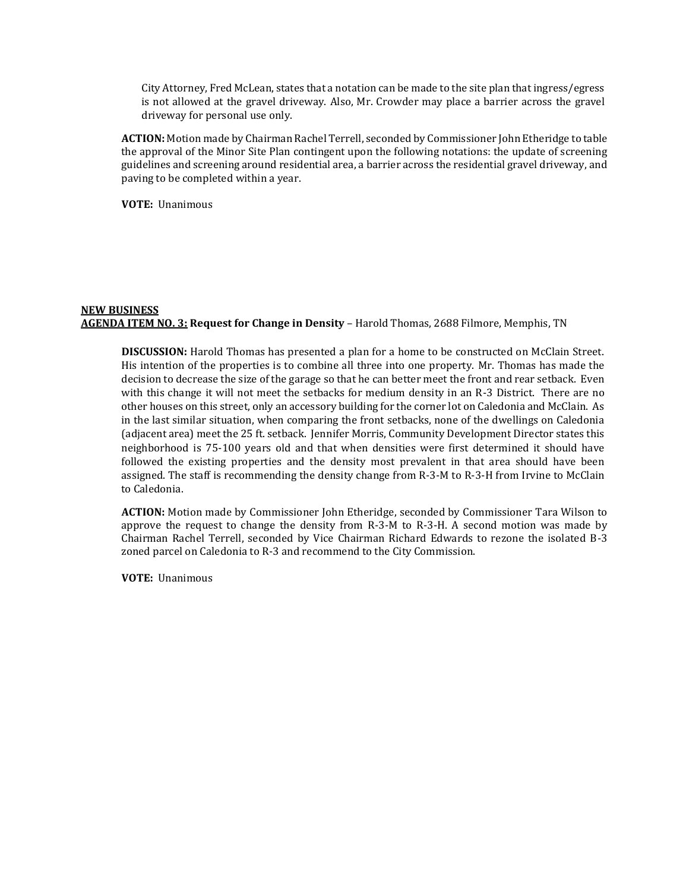City Attorney, Fred McLean, states that a notation can be made to the site plan that ingress/egress is not allowed at the gravel driveway. Also, Mr. Crowder may place a barrier across the gravel driveway for personal use only.

**ACTION:** Motion made by Chairman Rachel Terrell, seconded by Commissioner John Etheridge to table the approval of the Minor Site Plan contingent upon the following notations: the update of screening guidelines and screening around residential area, a barrier across the residential gravel driveway, and paving to be completed within a year.

**VOTE:** Unanimous

### **NEW BUSINESS AGENDA ITEM NO. 3: Request for Change in Density** – Harold Thomas, 2688 Filmore, Memphis, TN

**DISCUSSION:** Harold Thomas has presented a plan for a home to be constructed on McClain Street. His intention of the properties is to combine all three into one property. Mr. Thomas has made the decision to decrease the size of the garage so that he can better meet the front and rear setback. Even with this change it will not meet the setbacks for medium density in an R-3 District. There are no other houses on this street, only an accessory building for the corner lot on Caledonia and McClain. As in the last similar situation, when comparing the front setbacks, none of the dwellings on Caledonia (adjacent area) meet the 25 ft. setback. Jennifer Morris, Community Development Director states this neighborhood is 75-100 years old and that when densities were first determined it should have followed the existing properties and the density most prevalent in that area should have been assigned. The staff is recommending the density change from R-3-M to R-3-H from Irvine to McClain to Caledonia.

**ACTION:** Motion made by Commissioner John Etheridge, seconded by Commissioner Tara Wilson to approve the request to change the density from R-3-M to R-3-H. A second motion was made by Chairman Rachel Terrell, seconded by Vice Chairman Richard Edwards to rezone the isolated B-3 zoned parcel on Caledonia to R-3 and recommend to the City Commission.

**VOTE:** Unanimous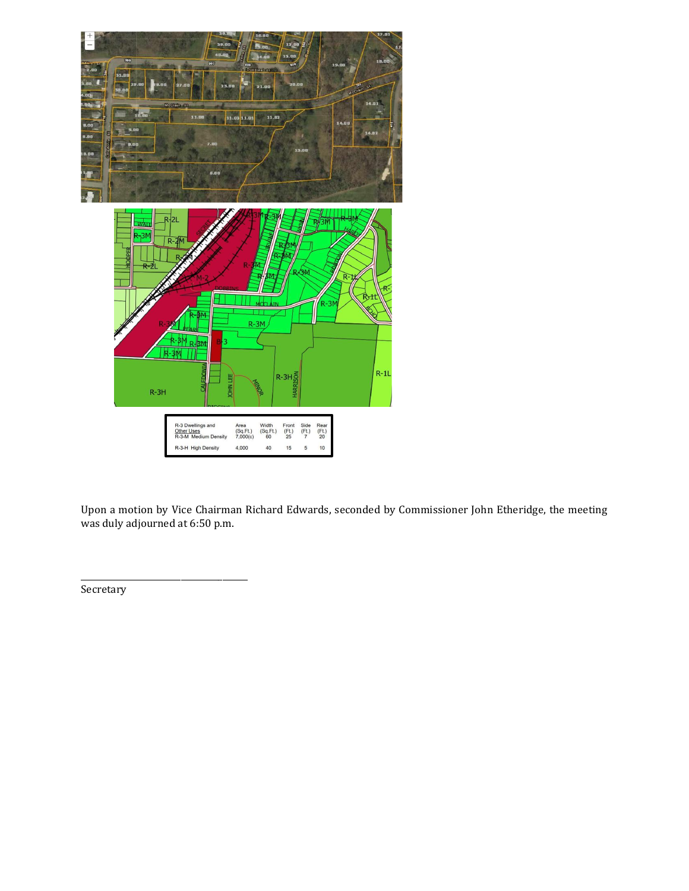

Upon a motion by Vice Chairman Richard Edwards, seconded by Commissioner John Etheridge, the meeting was duly adjourned at 6:50 p.m.

Secretary

\_\_\_\_\_\_\_\_\_\_\_\_\_\_\_\_\_\_\_\_\_\_\_\_\_\_\_\_\_\_\_\_\_\_\_\_\_\_\_\_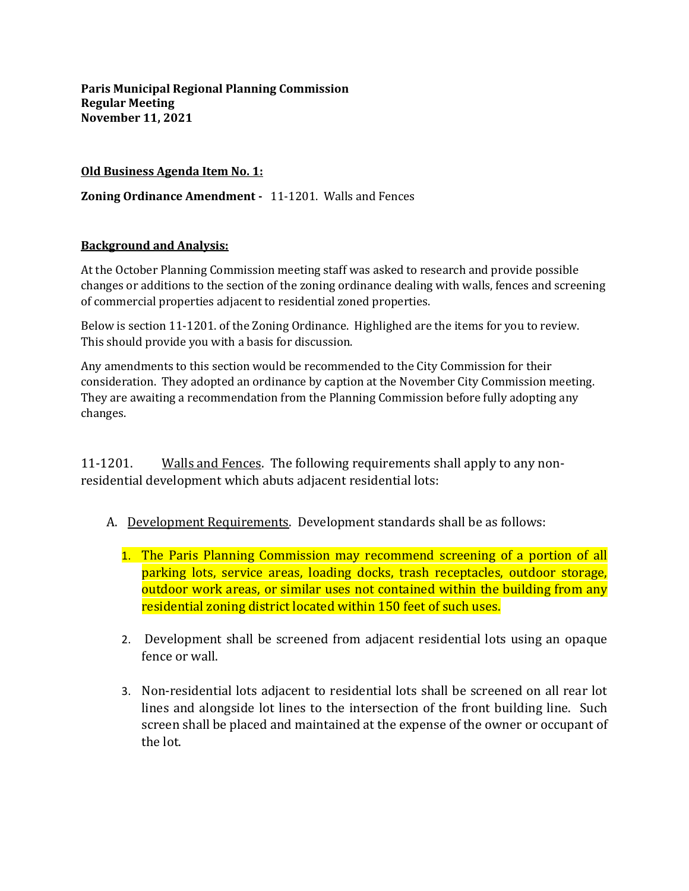## **Old Business Agenda Item No. 1:**

**Zoning Ordinance Amendment -** 11-1201. Walls and Fences

## **Background and Analysis:**

At the October Planning Commission meeting staff was asked to research and provide possible changes or additions to the section of the zoning ordinance dealing with walls, fences and screening of commercial properties adjacent to residential zoned properties.

Below is section 11-1201. of the Zoning Ordinance. Highlighed are the items for you to review. This should provide you with a basis for discussion.

Any amendments to this section would be recommended to the City Commission for their consideration. They adopted an ordinance by caption at the November City Commission meeting. They are awaiting a recommendation from the Planning Commission before fully adopting any changes.

11-1201. Walls and Fences. The following requirements shall apply to any nonresidential development which abuts adjacent residential lots:

- A. Development Requirements. Development standards shall be as follows:
	- 1. The Paris Planning Commission may recommend screening of a portion of all parking lots, service areas, loading docks, trash receptacles, outdoor storage, outdoor work areas, or similar uses not contained within the building from any residential zoning district located within 150 feet of such uses.
	- 2. Development shall be screened from adjacent residential lots using an opaque fence or wall.
	- 3. Non-residential lots adjacent to residential lots shall be screened on all rear lot lines and alongside lot lines to the intersection of the front building line. Such screen shall be placed and maintained at the expense of the owner or occupant of the lot.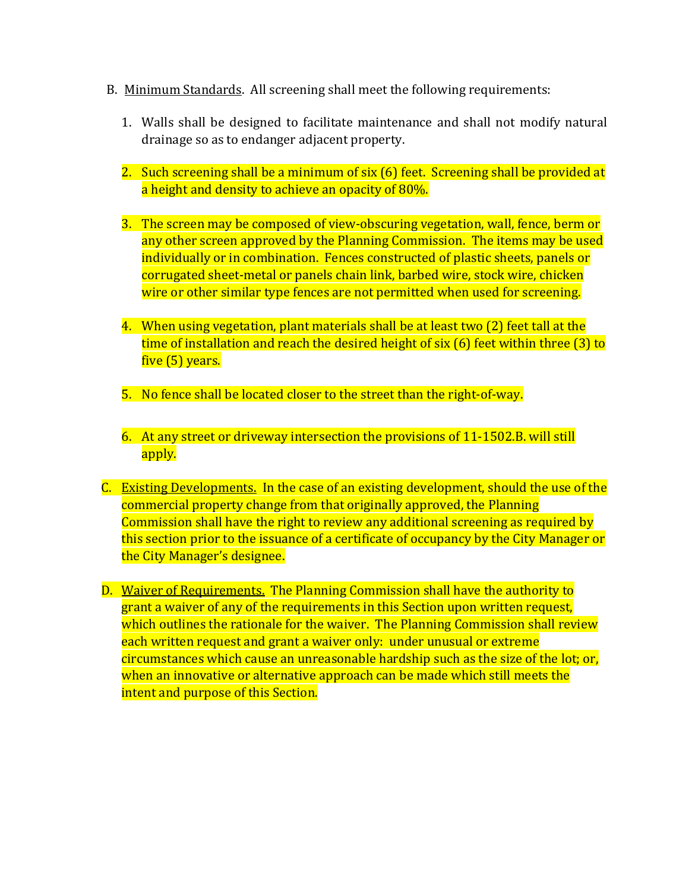- B. Minimum Standards. All screening shall meet the following requirements:
	- 1. Walls shall be designed to facilitate maintenance and shall not modify natural drainage so as to endanger adjacent property.
	- 2. Such screening shall be a minimum of six (6) feet. Screening shall be provided at a height and density to achieve an opacity of 80%.
	- 3. The screen may be composed of view-obscuring vegetation, wall, fence, berm or any other screen approved by the Planning Commission. The items may be used individually or in combination. Fences constructed of plastic sheets, panels or corrugated sheet-metal or panels chain link, barbed wire, stock wire, chicken wire or other similar type fences are not permitted when used for screening.
	- 4. When using vegetation, plant materials shall be at least two (2) feet tall at the time of installation and reach the desired height of six (6) feet within three (3) to five (5) years.
	- 5. No fence shall be located closer to the street than the right-of-way.
	- 6. At any street or driveway intersection the provisions of 11-1502.B. will still apply.
- C. Existing Developments. In the case of an existing development, should the use of the commercial property change from that originally approved, the Planning Commission shall have the right to review any additional screening as required by this section prior to the issuance of a certificate of occupancy by the City Manager or the City Manager's designee.
- D. Waiver of Requirements. The Planning Commission shall have the authority to grant a waiver of any of the requirements in this Section upon written request, which outlines the rationale for the waiver. The Planning Commission shall review each written request and grant a waiver only: under unusual or extreme circumstances which cause an unreasonable hardship such as the size of the lot; or, when an innovative or alternative approach can be made which still meets the intent and purpose of this Section.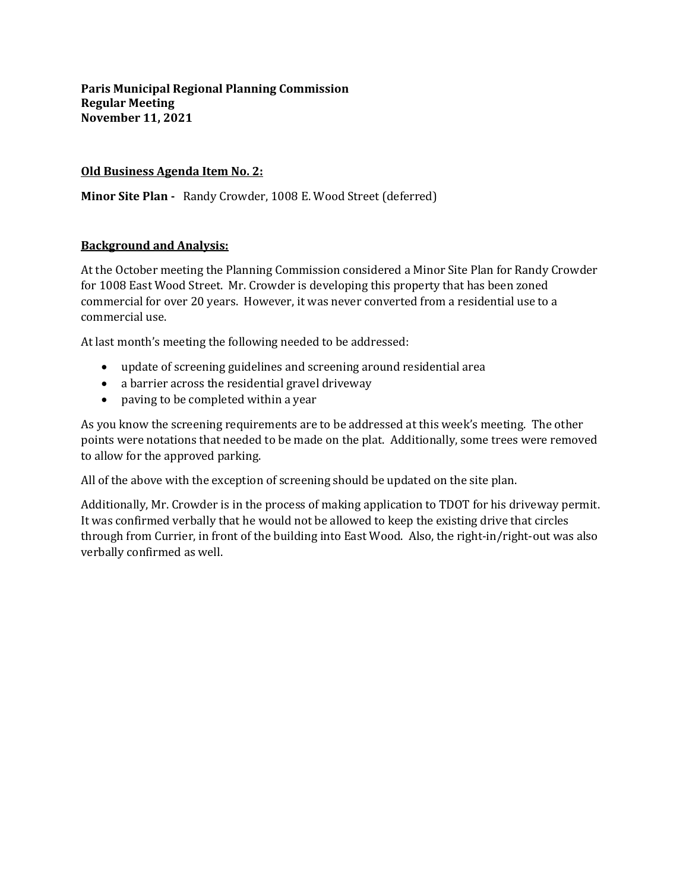## **Old Business Agenda Item No. 2:**

**Minor Site Plan -** Randy Crowder, 1008 E. Wood Street (deferred)

## **Background and Analysis:**

At the October meeting the Planning Commission considered a Minor Site Plan for Randy Crowder for 1008 East Wood Street. Mr. Crowder is developing this property that has been zoned commercial for over 20 years. However, it was never converted from a residential use to a commercial use.

At last month's meeting the following needed to be addressed:

- update of screening guidelines and screening around residential area
- a barrier across the residential gravel driveway
- paving to be completed within a year

As you know the screening requirements are to be addressed at this week's meeting. The other points were notations that needed to be made on the plat. Additionally, some trees were removed to allow for the approved parking.

All of the above with the exception of screening should be updated on the site plan.

Additionally, Mr. Crowder is in the process of making application to TDOT for his driveway permit. It was confirmed verbally that he would not be allowed to keep the existing drive that circles through from Currier, in front of the building into East Wood. Also, the right-in/right-out was also verbally confirmed as well.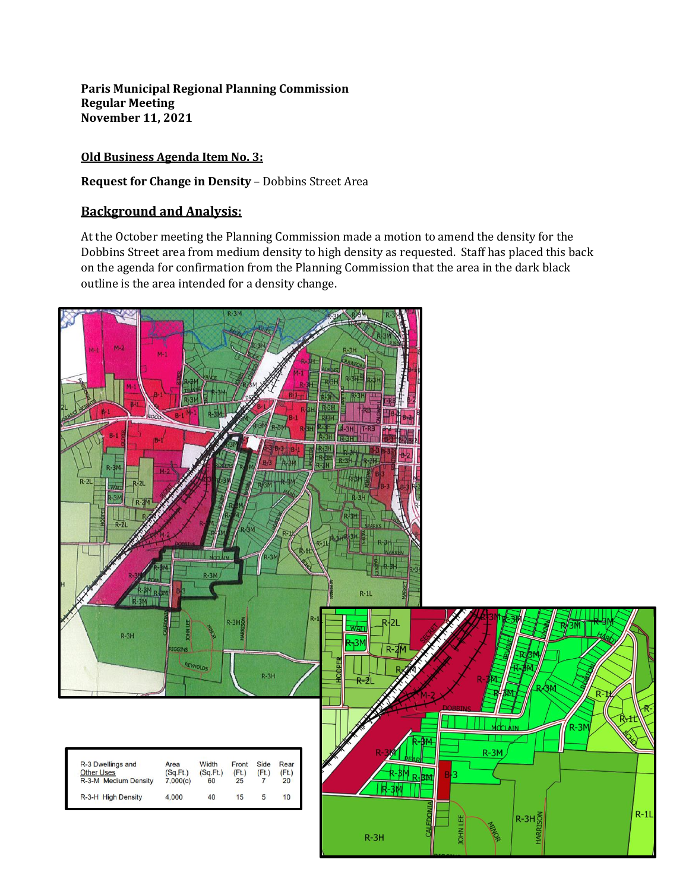## **Old Business Agenda Item No. 3:**

**Request for Change in Density** – Dobbins Street Area

## **Background and Analysis:**

At the October meeting the Planning Commission made a motion to amend the density for the Dobbins Street area from medium density to high density as requested. Staff has placed this back on the agenda for confirmation from the Planning Commission that the area in the dark black outline is the area intended for a density change.